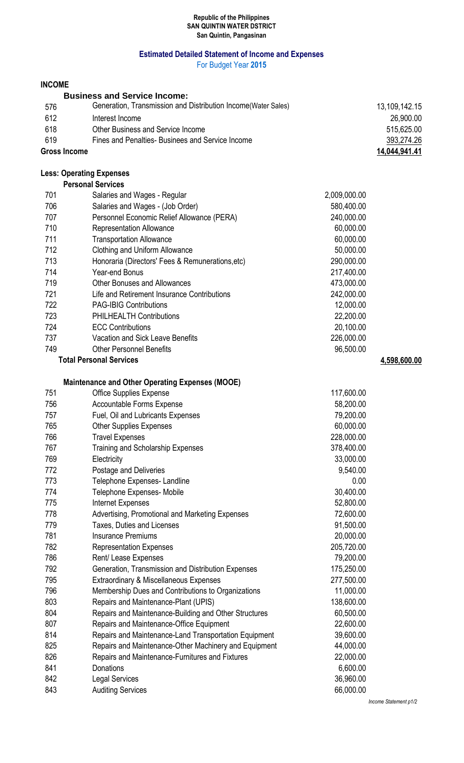#### **Republic of the Philippines SAN QUINTIN WATER DSTRICT San Quintin, Pangasinan**

## **Estimated Detailed Statement of Income and Expenses**

For Budget Year **2015**

## **INCOME**

|                     | <b>Business and Service Income:</b>                            |               |
|---------------------|----------------------------------------------------------------|---------------|
| 576                 | Generation, Transmission and Distribution Income (Water Sales) | 13,109,142.15 |
| 612                 | Interest Income                                                | 26,900.00     |
| 618                 | Other Business and Service Income                              | 515,625.00    |
| 619                 | Fines and Penalties-Businees and Service Income                | 393,274.26    |
| <b>Gross Income</b> |                                                                | 14,044,941.41 |

# **Less: Operating Expenses**

|                                | <b>Personal Services</b>                         |              |              |
|--------------------------------|--------------------------------------------------|--------------|--------------|
| 701                            | Salaries and Wages - Regular                     | 2,009,000.00 |              |
| 706                            | Salaries and Wages - (Job Order)                 | 580,400.00   |              |
| 707                            | Personnel Economic Relief Allowance (PERA)       | 240,000.00   |              |
| 710                            | <b>Representation Allowance</b>                  | 60,000.00    |              |
| 711                            | <b>Transportation Allowance</b>                  | 60,000.00    |              |
| 712                            | Clothing and Uniform Allowance                   | 50,000.00    |              |
| 713                            | Honoraria (Directors' Fees & Remunerations, etc) | 290,000.00   |              |
| 714                            | Year-end Bonus                                   | 217,400.00   |              |
| 719                            | <b>Other Bonuses and Allowances</b>              | 473,000.00   |              |
| 721                            | Life and Retirement Insurance Contributions      | 242,000.00   |              |
| 722                            | <b>PAG-IBIG Contributions</b>                    | 12,000.00    |              |
| 723                            | <b>PHILHEALTH Contributions</b>                  | 22,200.00    |              |
| 724                            | <b>ECC Contributions</b>                         | 20,100.00    |              |
| 737                            | Vacation and Sick Leave Benefits                 | 226,000.00   |              |
| 749                            | <b>Other Personnel Benefits</b>                  | 96,500.00    |              |
| <b>Total Personal Services</b> |                                                  |              | 4,598,600.00 |

#### **Maintenance and Other Operating Expenses (MOOE)**

| 751 | <b>Office Supplies Expense</b>                        | 117,600.00 |
|-----|-------------------------------------------------------|------------|
| 756 | <b>Accountable Forms Expense</b>                      | 58,200.00  |
| 757 | Fuel, Oil and Lubricants Expenses                     | 79,200.00  |
| 765 | <b>Other Supplies Expenses</b>                        | 60,000.00  |
| 766 | <b>Travel Expenses</b>                                | 228,000.00 |
| 767 | Training and Scholarship Expenses                     | 378,400.00 |
| 769 | Electricity                                           | 33,000.00  |
| 772 | Postage and Deliveries                                | 9,540.00   |
| 773 | Telephone Expenses- Landline                          | 0.00       |
| 774 | Telephone Expenses- Mobile                            | 30,400.00  |
| 775 | Internet Expenses                                     | 52,800.00  |
| 778 | Advertising, Promotional and Marketing Expenses       | 72,600.00  |
| 779 | Taxes, Duties and Licenses                            | 91,500.00  |
| 781 | <b>Insurance Premiums</b>                             | 20,000.00  |
| 782 | <b>Representation Expenses</b>                        | 205,720.00 |
| 786 | Rent/ Lease Expenses                                  | 79,200.00  |
| 792 | Generation, Transmission and Distribution Expenses    | 175,250.00 |
| 795 | Extraordinary & Miscellaneous Expenses                | 277,500.00 |
| 796 | Membership Dues and Contributions to Organizations    | 11,000.00  |
| 803 | Repairs and Maintenance-Plant (UPIS)                  | 138,600.00 |
| 804 | Repairs and Maintenance-Building and Other Structures | 60,500.00  |
| 807 | Repairs and Maintenance-Office Equipment              | 22,600.00  |
| 814 | Repairs and Maintenance-Land Transportation Equipment | 39,600.00  |
| 825 | Repairs and Maintenance-Other Machinery and Equipment | 44,000.00  |
| 826 | Repairs and Maintenance-Furnitures and Fixtures       | 22,000.00  |
| 841 | Donations                                             | 6,600.00   |
| 842 | <b>Legal Services</b>                                 | 36,960.00  |
| 843 | <b>Auditing Services</b>                              | 66,000.00  |

*Income Statement p1/2*